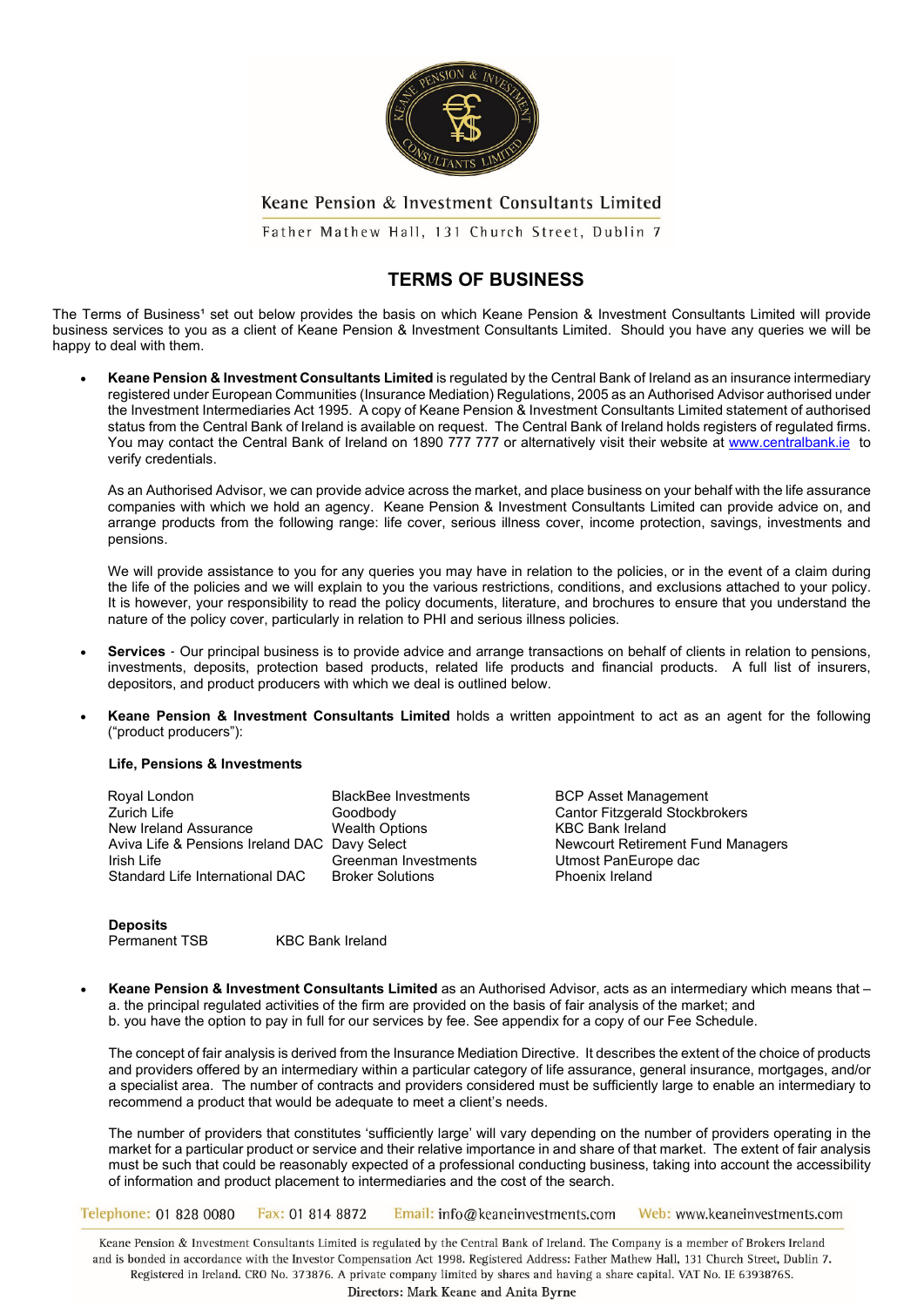

Father Mathew Hall, 131 Church Street, Dublin 7

# **TERMS OF BUSINESS**

The Terms of Business<sup>1</sup> set out below provides the basis on which Keane Pension & Investment Consultants Limited will provide business services to you as a client of Keane Pension & Investment Consultants Limited. Should you have any queries we will be happy to deal with them.

• **Keane Pension & Investment Consultants Limited** is regulated by the Central Bank of Ireland as an insurance intermediary registered under European Communities (Insurance Mediation) Regulations, 2005 as an Authorised Advisor authorised under the Investment Intermediaries Act 1995. A copy of Keane Pension & Investment Consultants Limited statement of authorised status from the Central Bank of Ireland is available on request. The Central Bank of Ireland holds registers of regulated firms. You may contact the Central Bank of Ireland on 1890 777 777 or alternatively visit their website at [www.centralbank.ie](http://www.centralbank.ie/) to verify credentials.

As an Authorised Advisor, we can provide advice across the market, and place business on your behalf with the life assurance companies with which we hold an agency. Keane Pension & Investment Consultants Limited can provide advice on, and arrange products from the following range: life cover, serious illness cover, income protection, savings, investments and pensions.

We will provide assistance to you for any queries you may have in relation to the policies, or in the event of a claim during the life of the policies and we will explain to you the various restrictions, conditions, and exclusions attached to your policy. It is however, your responsibility to read the policy documents, literature, and brochures to ensure that you understand the nature of the policy cover, particularly in relation to PHI and serious illness policies.

- **Services** Our principal business is to provide advice and arrange transactions on behalf of clients in relation to pensions, investments, deposits, protection based products, related life products and financial products. A full list of insurers, depositors, and product producers with which we deal is outlined below.
- **Keane Pension & Investment Consultants Limited** holds a written appointment to act as an agent for the following ("product producers"):

#### **Life, Pensions & Investments**

Royal London BlackBee Investments BCP Asset Management New Ireland Assurance Mealth Options (Wealth Options KBC Bank Ireland Retirement Fund Managers<br>
Aviva Life & Pensions Ireland DAC Davy Select (Arists Newcourt Retirement Fund Managers Aviva Life & Pensions Ireland DAC Davy Select<br>Irish Life Managers Greenman Investments Standard Life International DAC

Goodbody Cantor Fitzgerald Stockbrokers<br>
Wealth Options Cantor EXC Bank Ireland Greenman Investments<br>
Broker Solutions<br>
Phoenix Ireland

**Deposits**

Permanent TSB KBC Bank Ireland

• **Keane Pension & Investment Consultants Limited** as an Authorised Advisor, acts as an intermediary which means that – a. the principal regulated activities of the firm are provided on the basis of fair analysis of the market; and b. you have the option to pay in full for our services by fee. See appendix for a copy of our Fee Schedule.

The concept of fair analysis is derived from the Insurance Mediation Directive. It describes the extent of the choice of products and providers offered by an intermediary within a particular category of life assurance, general insurance, mortgages, and/or a specialist area. The number of contracts and providers considered must be sufficiently large to enable an intermediary to recommend a product that would be adequate to meet a client's needs.

The number of providers that constitutes 'sufficiently large' will vary depending on the number of providers operating in the market for a particular product or service and their relative importance in and share of that market. The extent of fair analysis must be such that could be reasonably expected of a professional conducting business, taking into account the accessibility of information and product placement to intermediaries and the cost of the search.

Telephone: 01 828 0080 Fax: 01 814 8872 Email: info@keaneinvestments.com Web: www.keaneinvestments.com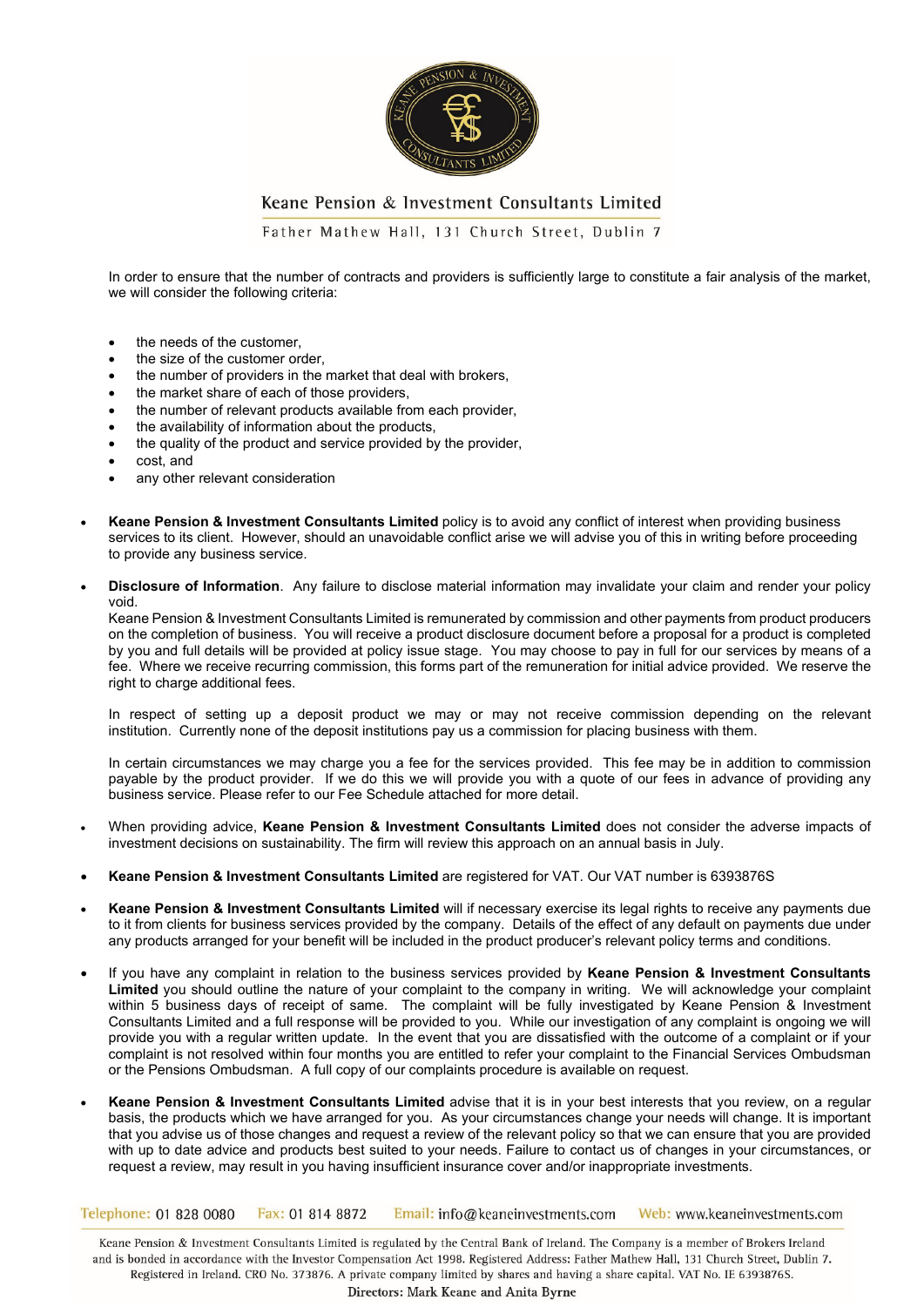

Father Mathew Hall, 131 Church Street, Dublin 7

In order to ensure that the number of contracts and providers is sufficiently large to constitute a fair analysis of the market, we will consider the following criteria:

- the needs of the customer,
- the size of the customer order,
- the number of providers in the market that deal with brokers,
- the market share of each of those providers,
- the number of relevant products available from each provider,
- the availability of information about the products,
- the quality of the product and service provided by the provider,
- cost, and
- any other relevant consideration
- **Keane Pension & Investment Consultants Limited** policy is to avoid any conflict of interest when providing business services to its client. However, should an unavoidable conflict arise we will advise you of this in writing before proceeding to provide any business service.
- **Disclosure of Information**. Any failure to disclose material information may invalidate your claim and render your policy void.

Keane Pension & Investment Consultants Limited is remunerated by commission and other payments from product producers on the completion of business. You will receive a product disclosure document before a proposal for a product is completed by you and full details will be provided at policy issue stage. You may choose to pay in full for our services by means of a fee. Where we receive recurring commission, this forms part of the remuneration for initial advice provided. We reserve the right to charge additional fees.

In respect of setting up a deposit product we may or may not receive commission depending on the relevant institution. Currently none of the deposit institutions pay us a commission for placing business with them.

In certain circumstances we may charge you a fee for the services provided. This fee may be in addition to commission payable by the product provider. If we do this we will provide you with a quote of our fees in advance of providing any business service. Please refer to our Fee Schedule attached for more detail.

- When providing advice, **Keane Pension & Investment Consultants Limited** does not consider the adverse impacts of investment decisions on sustainability. The firm will review this approach on an annual basis in July.
- **Keane Pension & Investment Consultants Limited** are registered for VAT. Our VAT number is 6393876S
- **Keane Pension & Investment Consultants Limited** will if necessary exercise its legal rights to receive any payments due to it from clients for business services provided by the company. Details of the effect of any default on payments due under any products arranged for your benefit will be included in the product producer's relevant policy terms and conditions.
- If you have any complaint in relation to the business services provided by **Keane Pension & Investment Consultants Limited** you should outline the nature of your complaint to the company in writing. We will acknowledge your complaint within 5 business days of receipt of same.The complaint will be fully investigated by Keane Pension & Investment Consultants Limited and a full response will be provided to you. While our investigation of any complaint is ongoing we will provide you with a regular written update. In the event that you are dissatisfied with the outcome of a complaint or if your complaint is not resolved within four months you are entitled to refer your complaint to the Financial Services Ombudsman or the Pensions Ombudsman. A full copy of our complaints procedure is available on request.
- **Keane Pension & Investment Consultants Limited** advise that it is in your best interests that you review, on a regular basis, the products which we have arranged for you. As your circumstances change your needs will change. It is important that you advise us of those changes and request a review of the relevant policy so that we can ensure that you are provided with up to date advice and products best suited to your needs. Failure to contact us of changes in your circumstances, or request a review, may result in you having insufficient insurance cover and/or inappropriate investments.

Telephone: 01 828 0080 Fax: 01 814 8872 Email: info@keaneinvestments.com Web: www.keaneinvestments.com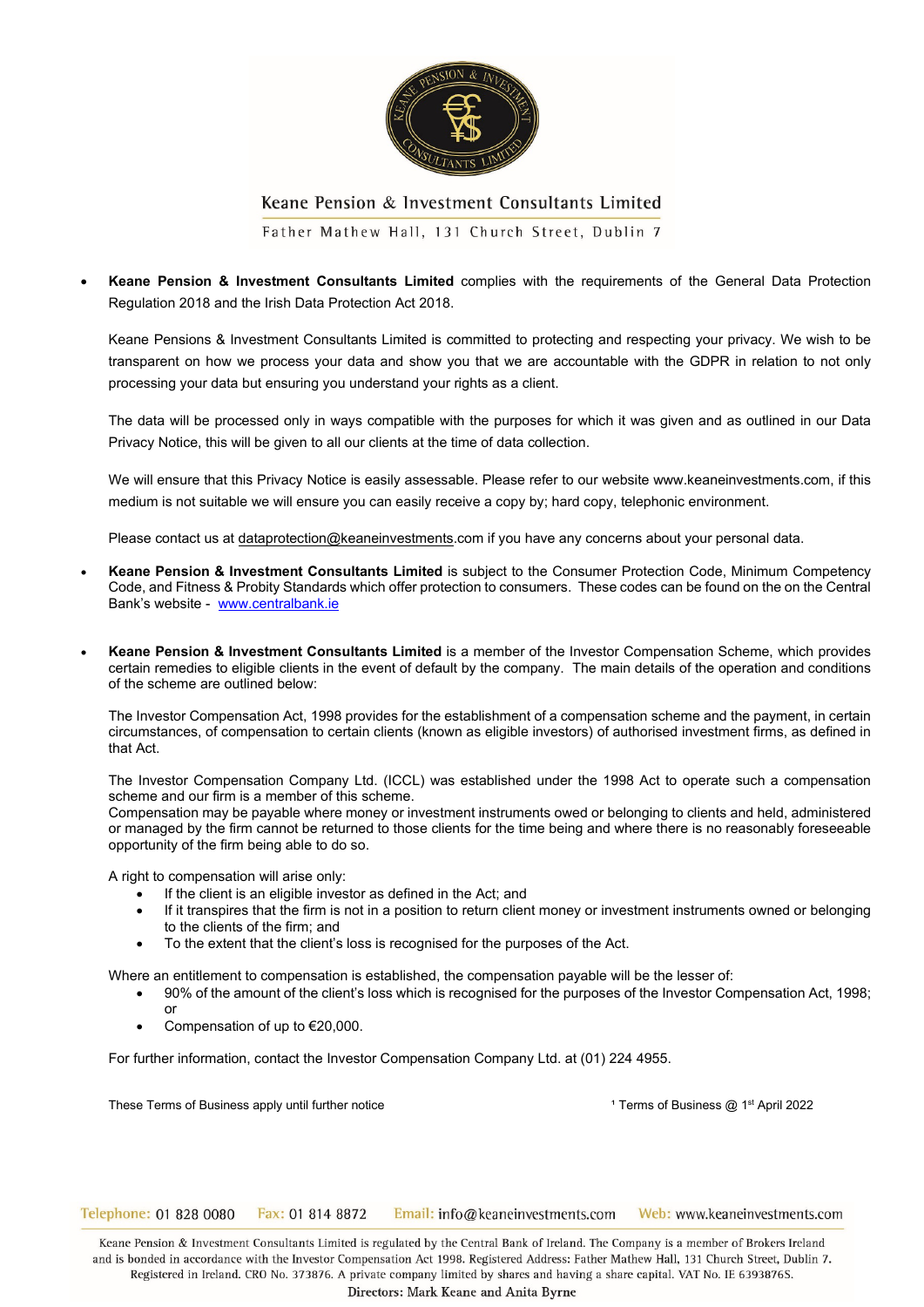

Father Mathew Hall, 131 Church Street, Dublin 7

• **Keane Pension & Investment Consultants Limited** complies with the requirements of the General Data Protection Regulation 2018 and the Irish Data Protection Act 2018.

Keane Pensions & Investment Consultants Limited is committed to protecting and respecting your privacy. We wish to be transparent on how we process your data and show you that we are accountable with the GDPR in relation to not only processing your data but ensuring you understand your rights as a client.

The data will be processed only in ways compatible with the purposes for which it was given and as outlined in our Data Privacy Notice, this will be given to all our clients at the time of data collection.

We will ensure that this Privacy Notice is easily assessable. Please refer to our website www.keaneinvestments.com, if this medium is not suitable we will ensure you can easily receive a copy by; hard copy, telephonic environment.

Please contact us at dataprotection@keaneinvestments.com if you have any concerns about your personal data.

- **Keane Pension & Investment Consultants Limited** is subject to the Consumer Protection Code, Minimum Competency Code, and Fitness & Probity Standards which offer protection to consumers. These codes can be found on the on the Central Bank's website - [www.centralbank.ie](http://www.centralbank.ie/)
- **Keane Pension & Investment Consultants Limited** is a member of the Investor Compensation Scheme, which provides certain remedies to eligible clients in the event of default by the company. The main details of the operation and conditions of the scheme are outlined below:

The Investor Compensation Act, 1998 provides for the establishment of a compensation scheme and the payment, in certain circumstances, of compensation to certain clients (known as eligible investors) of authorised investment firms, as defined in that Act.

The Investor Compensation Company Ltd. (ICCL) was established under the 1998 Act to operate such a compensation scheme and our firm is a member of this scheme.

Compensation may be payable where money or investment instruments owed or belonging to clients and held, administered or managed by the firm cannot be returned to those clients for the time being and where there is no reasonably foreseeable opportunity of the firm being able to do so.

A right to compensation will arise only:

- If the client is an eligible investor as defined in the Act; and
- If it transpires that the firm is not in a position to return client money or investment instruments owned or belonging to the clients of the firm; and
- To the extent that the client's loss is recognised for the purposes of the Act.

Where an entitlement to compensation is established, the compensation payable will be the lesser of:

- 90% of the amount of the client's loss which is recognised for the purposes of the Investor Compensation Act, 1998; or
- Compensation of up to €20,000.

For further information, contact the Investor Compensation Company Ltd. at (01) 224 4955.

These Terms of Business apply until further notice **These and Contain the Container 1** Terms of Business @ 1<sup>st</sup> April 2022

Telephone: 01 828 0080 Fax: 01 814 8872 Email: info@keaneinvestments.com Web: www.keaneinvestments.com